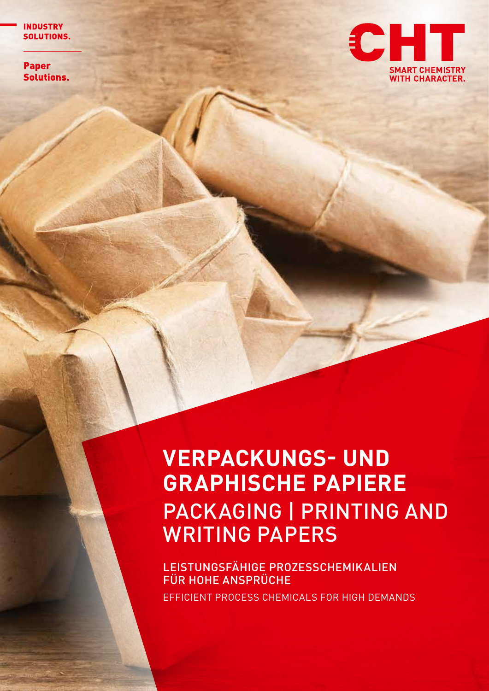**INDUSTRY SOLUTIONS.** 

**Paper** Solutions.



# **VERPACKUNGS- UND GRAPHISCHE PAPIERE** PACKAGING | PRINTING AND WRITING PAPERS

LEISTUNGSFÄHIGE PROZESSCHEMIKALIEN FÜR HOHE ANSPRÜCHE EFFICIENT PROCESS CHEMICALS FOR HIGH DEMANDS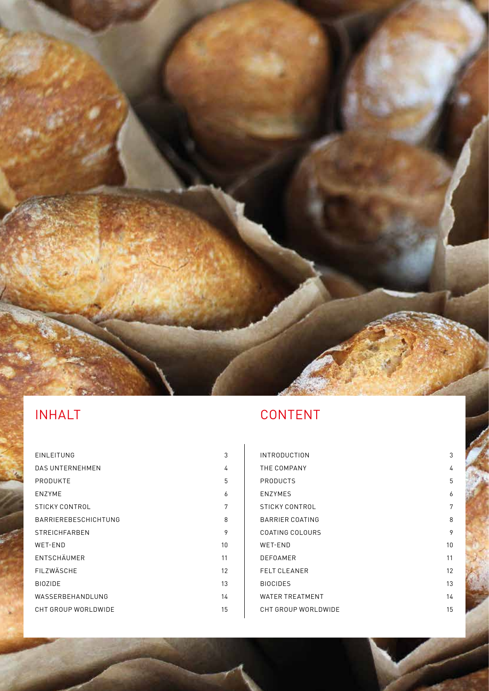

| EINLEITUNG             | 3  |
|------------------------|----|
| <b>DAS UNTERNEHMEN</b> | 4  |
| PRODUKTE               | 5  |
| <b>ENZYME</b>          | 6  |
| STICKY CONTROL         | 7  |
| BARRIEREBESCHICHTUNG   | 8  |
| <b>STREICHFARBEN</b>   | 9  |
| WET-END                | 10 |
| ENTSCHÄUMER            | 11 |
| FILZWÄSCHE             | 12 |
| <b>BIOZIDE</b>         | 13 |
| WASSERBEHANDLUNG       | 14 |
| CHT GROUP WORLDWIDE    | 15 |
|                        |    |

| <b>INTRODUCTION</b>    | 3  |
|------------------------|----|
| THE COMPANY            | 4  |
| PRODUCTS               | 5  |
| <b>ENZYMES</b>         | 6  |
| STICKY CONTROL         | 7  |
| BARRIER COATING        | 8  |
| COATING COLOURS        | 9  |
| <b>WET-END</b>         | 10 |
| <b>DEFOAMER</b>        | 11 |
| <b>FELT CLEANER</b>    | 12 |
| <b>BIOCIDES</b>        | 13 |
| <b>WATER TREATMENT</b> | 14 |
| CHT GROUP WORLDWIDE    | 15 |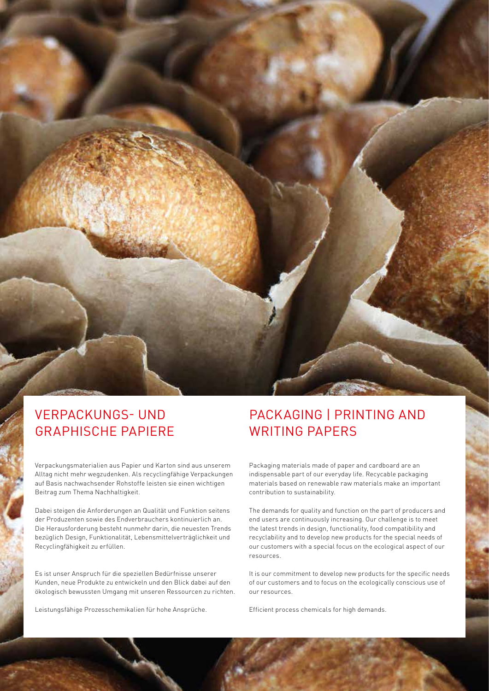

## VERPACKUNGS- UND GRAPHISCHE PAPIERE

Verpackungsmaterialien aus Papier und Karton sind aus unserem Alltag nicht mehr wegzudenken. Als recyclingfähige Verpackungen auf Basis nachwachsender Rohstoffe leisten sie einen wichtigen Beitrag zum Thema Nachhaltigkeit.

Dabei steigen die Anforderungen an Qualität und Funktion seitens der Produzenten sowie des Endverbrauchers kontinuierlich an. Die Herausforderung besteht nunmehr darin, die neuesten Trends bezüglich Design, Funktionalität, Lebensmittelverträglichkeit und Recyclingfähigkeit zu erfüllen.

Es ist unser Anspruch für die speziellen Bedürfnisse unserer Kunden, neue Produkte zu entwickeln und den Blick dabei auf den ökologisch bewussten Umgang mit unseren Ressourcen zu richten.

Leistungsfähige Prozesschemikalien für hohe Ansprüche.

## PACKAGING | PRINTING AND WRITING PAPERS

Packaging materials made of paper and cardboard are an indispensable part of our everyday life. Recycable packaging materials based on renewable raw materials make an important contribution to sustainability.

The demands for quality and function on the part of producers and end users are continuously increasing. Our challenge is to meet the latest trends in design, functionality, food compatibility and recyclability and to develop new products for the special needs of our customers with a special focus on the ecological aspect of our resources.

It is our commitment to develop new products for the specific needs of our customers and to focus on the ecologically conscious use of our resources.

3 CHT

Efficient process chemicals for high demands.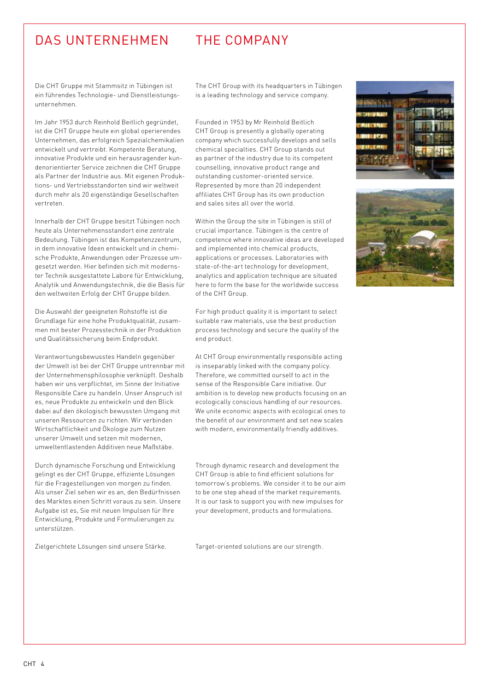### DAS UNTERNEHMEN THE COMPANY

Die CHT Gruppe mit Stammsitz in Tübingen ist ein führendes Technologie- und Dienstleistungsunternehmen.

Im Jahr 1953 durch Reinhold Beitlich gegründet, ist die CHT Gruppe heute ein global operierendes Unternehmen, das erfolgreich Spezialchemikalien entwickelt und vertreibt. Kompetente Beratung, innovative Produkte und ein herausragender kundenorientierter Service zeichnen die CHT Gruppe als Partner der Industrie aus. Mit eigenen Produktions- und Vertriebsstandorten sind wir weltweit durch mehr als 20 eigenständige Gesellschaften vertreten.

Innerhalb der CHT Gruppe besitzt Tübingen noch heute als Unternehmensstandort eine zentrale Bedeutung. Tübingen ist das Kompetenzzentrum, in dem innovative Ideen entwickelt und in chemische Produkte, Anwendungen oder Prozesse umgesetzt werden. Hier befinden sich mit modernster Technik ausgestattete Labore für Entwicklung, Analytik und Anwendungstechnik, die die Basis für den weltweiten Erfolg der CHT Gruppe bilden.

Die Auswahl der geeigneten Rohstoffe ist die Grundlage für eine hohe Produktqualität, zusammen mit bester Prozesstechnik in der Produktion und Qualitätssicherung beim Endprodukt.

Verantwortungsbewusstes Handeln gegenüber der Umwelt ist bei der CHT Gruppe untrennbar mit der Unternehmensphilosophie verknüpft. Deshalb haben wir uns verpflichtet, im Sinne der Initiative Responsible Care zu handeln. Unser Anspruch ist es, neue Produkte zu entwickeln und den Blick dabei auf den ökologisch bewussten Umgang mit unseren Ressourcen zu richten. Wir verbinden Wirtschaftlichkeit und Ökologie zum Nutzen unserer Umwelt und setzen mit modernen, umweltentlastenden Additiven neue Maßstäbe.

Durch dynamische Forschung und Entwicklung gelingt es der CHT Gruppe, effiziente Lösungen für die Fragestellungen von morgen zu finden. Als unser Ziel sehen wir es an, den Bedürfnissen des Marktes einen Schritt voraus zu sein. Unsere Aufgabe ist es, Sie mit neuen Impulsen für Ihre Entwicklung, Produkte und Formulierungen zu unterstützen.

Zielgerichtete Lösungen sind unsere Stärke.

The CHT Group with its headquarters in Tübingen is a leading technology and service company.

Founded in 1953 by Mr Reinhold Beitlich CHT Group is presently a globally operating company which successfully develops and sells chemical specialties. CHT Group stands out as partner of the industry due to its competent counselling, innovative product range and outstanding customer-oriented service. Represented by more than 20 independent affiliates CHT Group has its own production and sales sites all over the world.

Within the Group the site in Tübingen is still of crucial importance. Tübingen is the centre of competence where innovative ideas are developed and implemented into chemical products, applications or processes. Laboratories with state-of-the-art technology for development, analytics and application technique are situated here to form the base for the worldwide success of the CHT Group.

For high product quality it is important to select suitable raw materials, use the best production process technology and secure the quality of the end product.

At CHT Group environmentally responsible acting is inseparably linked with the company policy. Therefore, we committed ourself to act in the sense of the Responsible Care initiative. Our ambition is to develop new products focusing on an ecologically conscious handling of our resources. We unite economic aspects with ecological ones to the benefit of our environment and set new scales with modern, environmentally friendly additives.

Through dynamic research and development the CHT Group is able to find efficient solutions for tomorrow's problems. We consider it to be our aim to be one step ahead of the market requirements. It is our task to support you with new impulses for your development, products and formulations.

Target-oriented solutions are our strength.



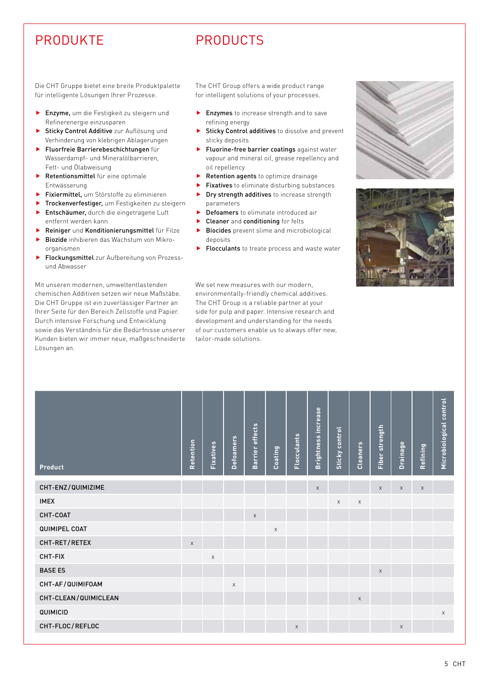## PRODUKTE PRODUCTS

Die CHT Gruppe bietet eine breite Produktpalette für intelligente Lösungen Ihrer Prozesse.

- **Finzyme,** um die Festigkeit zu steigern und Refinerenergie einzusparen
- **F** Sticky Control Additive zur Auflösung und Verhinderung von klebrigen Ablagerungen
- **Fluorfreie Barrierebeschichtungen** für Wasserdampf- und Mineralölbarrieren, Fett- und Ölabweisung
- $\blacktriangleright$  Retentionsmittel für eine optimale Entwässerung
- $\blacktriangleright$  Fixiermittel, um Störstoffe zu eliminieren
- Trockenverfestiger, um Festigkeiten zu steigern
- **Fintschäumer, durch die eingetragene Luft** entfernt werden kann
- $\blacktriangleright$  Reiniger und Konditionierungsmittel für Filze
- **Biozide** inhibieren das Wachstum von Mikroorganismen
- Flockungsmittel zur Aufbereitung von Prozessund Abwasser

Mit unseren modernen, umweltentlastenden chemischen Additiven setzen wir neue Maßstäbe. Die CHT Gruppe ist ein zuverlässiger Partner an Ihrer Seite für den Bereich Zellstoffe und Papier. Durch intensive Forschung und Entwicklung sowie das Verständnis für die Bedürfnisse unserer Kunden bieten wir immer neue, maßgeschneiderte Lösungen an.

The CHT Group offers a wide product range for intelligent solutions of your processes.

- $\blacktriangleright$  Enzymes to increase strength and to save refining energy
- $\blacktriangleright$  Sticky Control additives to dissolve and prevent sticky deposits
- $\blacktriangleright$  Fluorine-free barrier coatings against water vapour and mineral oil, grease repellency and oil repellency
- $\blacktriangleright$  Retention agents to optimize drainage
- Fixatives to eliminate disturbing substances
- Dry strength additives to increase strength parameters
- Defoamers to eliminate introduced air
- Cleaner and conditioning for felts
- **Biocides** prevent slime and microbiological deposits
- Flocculants to treate process and waste water

We set new measures with our modern environmentally-friendly chemical additives. The CHT Group is a reliable partner at your side for pulp and paper. Intensive research and development and understanding for the needs of our customers enable us to always offer new, tailor-made solutions.





| Product              | Retention   | Fixatives | <b>Defoamers</b>          | Barrier effects | Coating | Flocculants | Brightness increase | Sticky control | Cleaners    | Fiber strength | Drainage    | Refining    | Microbiological control |
|----------------------|-------------|-----------|---------------------------|-----------------|---------|-------------|---------------------|----------------|-------------|----------------|-------------|-------------|-------------------------|
| CHT-ENZ/QUIMIZIME    |             |           |                           |                 |         |             | $\mathsf X$         |                |             | $\mathsf X$    | $\mathsf X$ | $\mathsf X$ |                         |
| <b>IMEX</b>          |             |           |                           |                 |         |             |                     | $\mathsf X$    | $\mathsf X$ |                |             |             |                         |
| CHT-COAT             |             |           |                           | $\mathsf X$     |         |             |                     |                |             |                |             |             |                         |
| QUIMIPEL COAT        |             |           |                           |                 | X       |             |                     |                |             |                |             |             |                         |
| CHT-RET/RETEX        | $\mathsf X$ |           |                           |                 |         |             |                     |                |             |                |             |             |                         |
| CHT-FIX              |             | X         |                           |                 |         |             |                     |                |             |                |             |             |                         |
| <b>BASE ES</b>       |             |           |                           |                 |         |             |                     |                |             | $\mathsf X$    |             |             |                         |
| CHT-AF/QUIMIF0AM     |             |           | $\boldsymbol{\mathsf{X}}$ |                 |         |             |                     |                |             |                |             |             |                         |
| CHT-CLEAN/QUIMICLEAN |             |           |                           |                 |         |             |                     |                | $\mathsf X$ |                |             |             |                         |
| QUIMICID             |             |           |                           |                 |         |             |                     |                |             |                |             |             | $\mathsf X$             |
| CHT-FLOC/REFLOC      |             |           |                           |                 |         | $\times$    |                     |                |             |                | $\mathsf X$ |             |                         |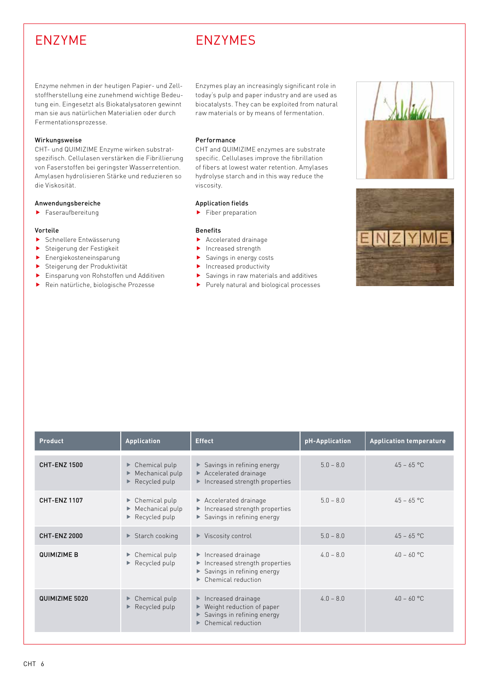## ENZYME ENZYMES

Enzyme nehmen in der heutigen Papier- und Zellstoffherstellung eine zunehmend wichtige Bedeutung ein. Eingesetzt als Biokatalysatoren gewinnt man sie aus natürlichen Materialien oder durch Fermentationsprozesse.

#### Wirkungsweise

CHT- und QUIMIZIME Enzyme wirken substratspezifisch. Cellulasen verstärken die Fibrillierung von Faserstoffen bei geringster Wasserretention. Amylasen hydrolisieren Stärke und reduzieren so die Viskosität.

#### Anwendungsbereiche

 $\blacktriangleright$  Faseraufbereitung

#### Vorteile

- **F** Schnellere Entwässerung
- **F** Steigerung der Festigkeit
- $\blacktriangleright$  Energiekosteneinsparung
- **F** Steigerung der Produktivität
- **F** Einsparung von Rohstoffen und Additiven
- ▶ Rein natürliche, biologische Prozesse

Enzymes play an increasingly significant role in today's pulp and paper industry and are used as biocatalysts. They can be exploited from natural raw materials or by means of fermentation.

#### Performance

CHT and QUIMIZIME enzymes are substrate specific. Cellulases improve the fibrillation of fibers at lowest water retention. Amylases hydrolyse starch and in this way reduce the viscosity.

#### Application fields

 $\blacktriangleright$  Fiber preparation

- $\blacktriangleright$  Accelerated drainage
- $\blacktriangleright$  Increased strength
- $\blacktriangleright$  Savings in energy costs
- $\blacktriangleright$  Increased productivity
- $\blacktriangleright$  Savings in raw materials and additives
- $\blacktriangleright$  Purely natural and biological processes





| <b>Product</b>      | <b>Application</b>                                                                       | <b>Effect</b>                                                                                                                                                        | pH-Application | <b>Application temperature</b> |
|---------------------|------------------------------------------------------------------------------------------|----------------------------------------------------------------------------------------------------------------------------------------------------------------------|----------------|--------------------------------|
| <b>CHT-ENZ 1500</b> | $\triangleright$ Chemical pulp<br>Mechanical pulp<br>Recycled pulp                       | $\triangleright$ Savings in refining energy<br>$\triangleright$ Accelerated drainage<br>Increased strength properties                                                | $5.0 - 8.0$    | $45 - 65$ °C                   |
| <b>CHT-ENZ 1107</b> | $\triangleright$ Chemical pulp<br>$\blacktriangleright$ Mechanical pulp<br>Recycled pulp | $\blacktriangleright$ Accelerated drainage<br>$\blacktriangleright$ Increased strength properties<br>Savings in refining energy                                      | $5.0 - 8.0$    | $45 - 65$ °C                   |
| <b>CHT-ENZ 2000</b> | $\triangleright$ Starch cooking                                                          | $\blacktriangleright$ Viscosity control                                                                                                                              | $5.0 - 8.0$    | $45 - 65$ °C                   |
| <b>QUIMIZIME B</b>  | $\triangleright$ Chemical pulp<br>Recycled pulp                                          | $\blacktriangleright$ Increased drainage<br>$\blacktriangleright$ Increased strength properties<br>Savings in refining energy<br>$\triangleright$ Chemical reduction | $4.0 - 8.0$    | $40 - 60$ °C                   |
| QUIMIZIME 5020      | ▶ Chemical pulp<br>Recycled pulp                                                         | Increased drainage<br>Weight reduction of paper<br>▶<br>Savings in refining energy<br>Chemical reduction                                                             | $40 - 80$      | $40 - 60$ °C                   |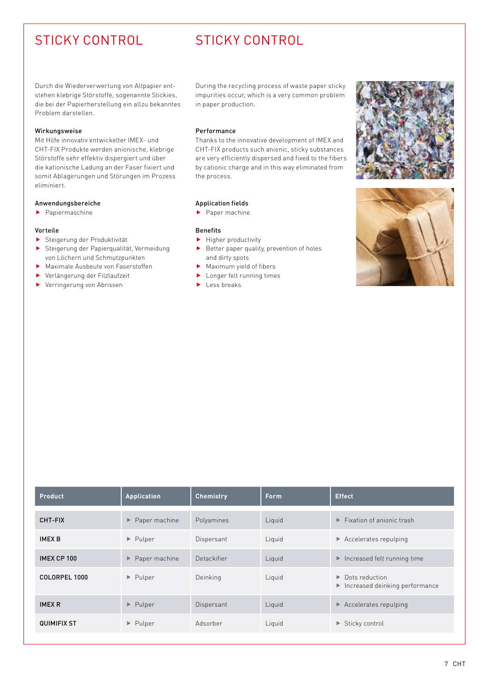## STICKY CONTROL STICKY CONTROL

Durch die Wiederverwertung von Altpapier entstehen klebrige Störstoffe, sogenannte Stickies, die bei der Papierherstellung ein allzu bekanntes Problem darstellen.

#### Wirkungsweise

Mit Hilfe innovativ entwickelter IMEX- und CHT-FIX Produkte werden anionische, klebrige Störstoffe sehr effektiv dispergiert und über die kationische Ladung an der Faser fixiert und somit Ablagerungen und Störungen im Prozess eliminiert.

#### Anwendungsbereiche

 $\blacktriangleright$  Papiermaschine

#### Vorteile

- **F** Steigerung der Produktivität
- **F** Steigerung der Papierqualität, Vermeidung von Löchern und Schmutzpunkten
- $\blacktriangleright$  Maximale Ausbeute von Faserstoffen
- f Verlängerung der Filzlaufzeit
- $\blacktriangleright$  Verringerung von Abrissen

During the recycling process of waste paper sticky impurities occur, which is a very common problem in paper production.

#### Performance

Thanks to the innovative development of IMEX and CHT-FIX products such anionic, sticky substances are very efficiently dispersed and fixed to the fibers by cationic charge and in this way eliminated from the process.

### Application fields

 $\blacktriangleright$  Paper machine

- $\blacktriangleright$  Higher productivity
- $\blacktriangleright$  Better paper quality, prevention of holes and dirty spots
- $\blacktriangleright$  Maximum yield of fibers
- $\blacktriangleright$  Longer felt running times
- $\blacktriangleright$  Less breaks





| <b>Product</b>     | Application                         | <b>Chemistry</b> | <b>Form</b> | <b>Effect</b>                                                     |
|--------------------|-------------------------------------|------------------|-------------|-------------------------------------------------------------------|
| CHT-FIX            | $\blacktriangleright$ Paper machine | Polyamines       | Liquid      | $\blacktriangleright$ Fixation of anionic trash                   |
| <b>IMEX B</b>      | $\blacktriangleright$ Pulper        | Dispersant       | Liquid      | $\triangleright$ Accelerates repulping                            |
| IMEX CP 100        | $\blacktriangleright$ Paper machine | Detackifier      | Liquid      | $\blacktriangleright$ Increased felt running time                 |
| COLORPEL 1000      | $\blacktriangleright$ Pulper        | Deinking         | Liquid      | $\triangleright$ Dots reduction<br>Increased deinking performance |
| <b>IMEX R</b>      | $\blacktriangleright$ Pulper        | Dispersant       | Liquid      | $\triangleright$ Accelerates repulping                            |
| <b>QUIMIFIX ST</b> | $\blacktriangleright$ Pulper        | Adsorber         | Liquid      | $\blacktriangleright$ Sticky control                              |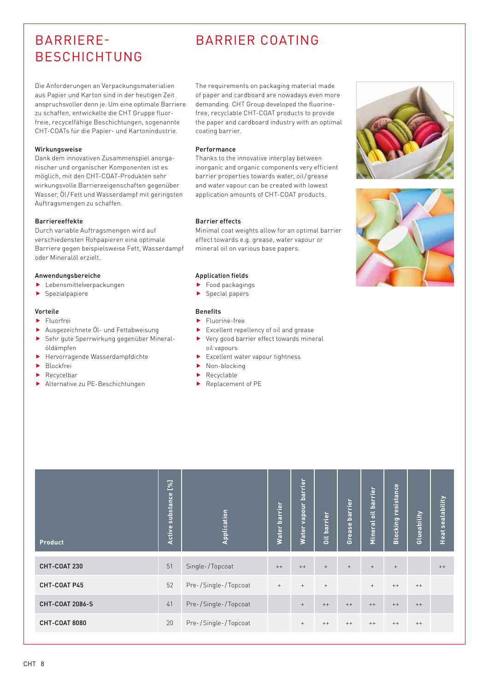## BARRIERE-BESCHICHTUNG

## BARRIER COATING

Die Anforderungen an Verpackungsmaterialien aus Papier und Karton sind in der heutigen Zeit anspruchsvoller denn je. Um eine optimale Barriere zu schaffen, entwickelte die CHT Gruppe fluorfreie, recycelfähige Beschichtungen, sogenannte CHT-COATs für die Papier- und Kartonindustrie.

#### Wirkungsweise

Dank dem innovativen Zusammenspiel anorganischer und organischer Komponenten ist es möglich, mit den CHT-COAT-Produkten sehr wirkungsvolle Barriereeigenschaften gegenüber Wasser, Öl/Fett und Wasserdampf mit geringsten Auftragsmengen zu schaffen.

#### Barriereeffekte

Durch variable Auftragsmengen wird auf verschiedensten Rohpapieren eine optimale Barriere gegen beispielsweise Fett, Wasserdampf oder Mineralöl erzielt.

#### Anwendungsbereiche

- $\blacktriangleright$  Lebensmittelverpackungen
- $\blacktriangleright$  Spezialpapiere

#### Vorteile

- $\blacktriangleright$  Fluorfrei
- **Ausgezeichnete Öl- und Fettabweisung** f Sehr gute Sperrwirkung gegenüber Mineralöldämpfen
- $\blacktriangleright$  Hervorragende Wasserdampfdichte
- **Blockfrei**
- $\blacktriangleright$  Recycelbar
- **Alternative zu PE-Beschichtungen**

The requirements on packaging material made of paper and cardboard are nowadays even more demanding. CHT Group developed the fluorinefree, recyclable CHT-COAT products to provide the paper and cardboard industry with an optimal coating barrier.

#### Performance

Thanks to the innovative interplay between inorganic and organic components very efficient barrier properties towards water, oil/grease and water vapour can be created with lowest application amounts of CHT-COAT products.

#### Barrier effects

Minimal coat weights allow for an optimal barrier effect towards e.g. grease, water vapour or mineral oil on various base papers.

#### Application fields

- $\blacktriangleright$  Food packagings
- $\blacktriangleright$  Special papers

- $\blacktriangleright$  Fluorine-free
- $\blacktriangleright$  Excellent repellency of oil and grease
- $\blacktriangleright$  Very good barrier effect towards mineral oil vapours
- $\blacktriangleright$  Excellent water vapour tightness
- $\blacktriangleright$  Non-blocking
- $\blacktriangleright$  Recyclable
- $\blacktriangleright$  Replacement of PE

| Product                | [%]<br>substance<br>Active | Application          | barrier<br><b>Water</b> | barrier<br>vapour<br><b>Water</b> | <b>Oil barrier</b> | barrier<br>Grease | barrier<br>$\ddot{ }$<br>Mineral | resistance<br><b>Blocking</b> | Glueability | <b>Heat sealability</b> |
|------------------------|----------------------------|----------------------|-------------------------|-----------------------------------|--------------------|-------------------|----------------------------------|-------------------------------|-------------|-------------------------|
| CHT-COAT 230           | 51                         | Single-/Topcoat      | $++$                    | $++$                              | $+$                | $+$               | $^{+}$                           | $+$                           |             | $^{++}$                 |
| CHT-COAT P45           | 52                         | Pre-/Single-/Topcoat | $^+$                    | $+$                               | $+$                |                   | $+$                              | $^{++}$                       | $++$        |                         |
| <b>CHT-COAT 2086-S</b> | 41                         | Pre-/Single-/Topcoat |                         | $+$                               | $++$               | $++$              | $++$                             | $++$                          | $++$        |                         |
| CHT-COAT 8080          | 20                         | Pre-/Single-/Topcoat |                         | $\! + \!\!\!\!$                   | $^{++}$            | $^{++}$           | $^{++}$                          | $^{++}$                       | $++$        |                         |



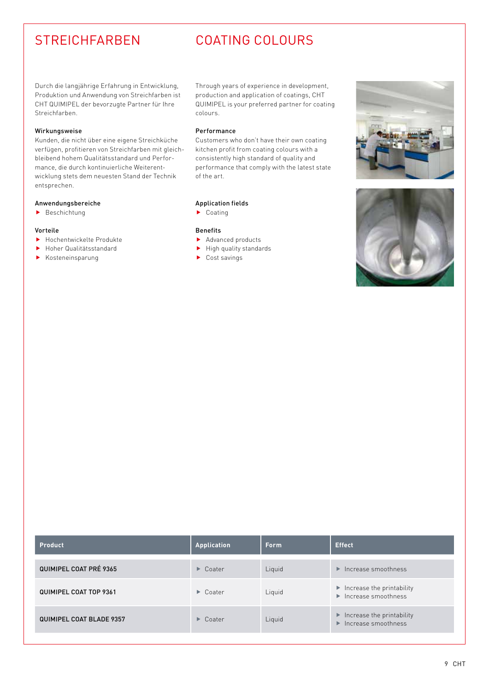### STREICHFARBEN COATING COLOURS

Durch die langjährige Erfahrung in Entwicklung, Produktion und Anwendung von Streichfarben ist CHT QUIMIPEL der bevorzugte Partner für Ihre Streichfarben.

#### Wirkungsweise

Kunden, die nicht über eine eigene Streichküche verfügen, profitieren von Streichfarben mit gleichbleibend hohem Qualitätsstandard und Performance, die durch kontinuierliche Weiterentwicklung stets dem neuesten Stand der Technik entsprechen.

#### Anwendungsbereiche

 $\blacktriangleright$  Beschichtung

#### Vorteile

- $\blacktriangleright$  Hochentwickelte Produkte
- **F** Hoher Qualitätsstandard
- $\blacktriangleright$  Kosteneinsparung

Through years of experience in development, production and application of coatings, CHT QUIMIPEL is your preferred partner for coating colours.

#### Performance

Customers who don't have their own coating kitchen profit from coating colours with a consistently high standard of quality and performance that comply with the latest state of the art.

### Application fields

 $\blacktriangleright$  Coating

- $\blacktriangleright$  Advanced products
- $\blacktriangleright$  High quality standards
- $\blacktriangleright$  Cost savings





| <b>Product</b>                  | Application             | <b>Form</b> | <b>Effect</b>                                                                                |
|---------------------------------|-------------------------|-------------|----------------------------------------------------------------------------------------------|
| <b>QUIMIPEL COAT PRÉ 9365</b>   | $\triangleright$ Coater | Liquid      | $\blacktriangleright$ Increase smoothness                                                    |
| QUIMIPEL COAT TOP 9361          | $\triangleright$ Coater | Liquid      | $\blacktriangleright$ Increase the printability<br>$\blacktriangleright$ Increase smoothness |
| <b>QUIMIPEL COAT BLADE 9357</b> | $\triangleright$ Coater | Liquid      | $\blacktriangleright$ Increase the printability<br>$\blacktriangleright$ Increase smoothness |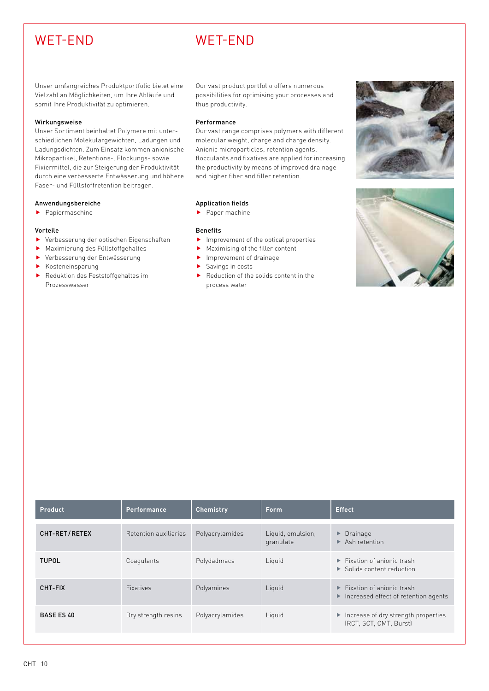## WET-END WET-END

Unser umfangreiches Produktportfolio bietet eine Vielzahl an Möglichkeiten, um Ihre Abläufe und somit Ihre Produktivität zu optimieren.

#### Wirkungsweise

Unser Sortiment beinhaltet Polymere mit unterschiedlichen Molekulargewichten, Ladungen und Ladungsdichten. Zum Einsatz kommen anionische Mikropartikel, Retentions-, Flockungs- sowie Fixiermittel, die zur Steigerung der Produktivität durch eine verbesserte Entwässerung und höhere Faser- und Füllstoffretention beitragen.

#### Anwendungsbereiche

 $\blacktriangleright$  Papiermaschine

#### Vorteile

- $\blacktriangleright$  Verbesserung der optischen Eigenschaften
- $\blacktriangleright$  Maximierung des Füllstoffgehaltes
- f Verbesserung der Entwässerung
- $\blacktriangleright$  Kosteneinsparung
- $\blacktriangleright$  Reduktion des Feststoffgehaltes im Prozesswasser

Our vast product portfolio offers numerous possibilities for optimising your processes and thus productivity.

#### Performance

Our vast range comprises polymers with different molecular weight, charge and charge density. Anionic microparticles, retention agents, flocculants and fixatives are applied for increasing the productivity by means of improved drainage and higher fiber and filler retention.

### Application fields

 $\blacktriangleright$  Paper machine

- $\blacktriangleright$  Improvement of the optical properties
- Maximising of the filler content
- $\blacktriangleright$  Improvement of drainage
- $\blacktriangleright$  Savings in costs
- $\blacktriangleright$  Reduction of the solids content in the process water





| <b>Product</b>    | Performance           | <b>Chemistry</b> | <b>Form</b>                    | <b>Effect</b>                                                                                                 |
|-------------------|-----------------------|------------------|--------------------------------|---------------------------------------------------------------------------------------------------------------|
| CHT-RET/RETEX     | Retention auxiliaries | Polyacrylamides  | Liquid, emulsion,<br>granulate | $\triangleright$ Drainage<br>$\triangleright$ Ash retention                                                   |
| <b>TUPOL</b>      | Coagulants            | Polydadmacs      | Liquid                         | $\blacktriangleright$ Fixation of anionic trash<br>$\triangleright$ Solids content reduction                  |
| CHT-FIX           | <b>Fixatives</b>      | Polyamines       | Liquid                         | $\blacktriangleright$ Fixation of anionic trash<br>$\blacktriangleright$ Increased effect of retention agents |
| <b>BASE ES 40</b> | Dry strength resins   | Polyacrylamides  | Liquid                         | $\blacktriangleright$ Increase of dry strength properties<br>(RCT, SCT, CMT, Burst)                           |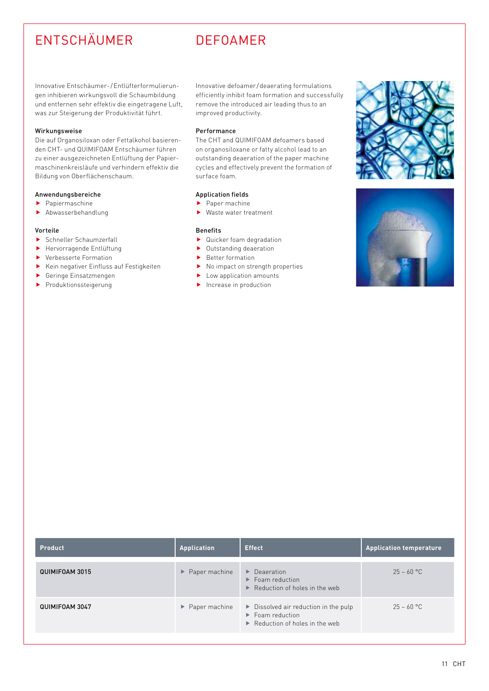## ENTSCHÄUMER DEFOAMER

Innovative Entschäumer- /Entlüfterformulierungen inhibieren wirkungsvoll die Schaumbildung und entfernen sehr effektiv die eingetragene Luft, was zur Steigerung der Produktivität führt.

#### Wirkungsweise

Die auf Organosiloxan oder Fettalkohol basierenden CHT- und QUIMIFOAM Entschäumer führen zu einer ausgezeichneten Entlüftung der Papiermaschinenkreisläufe und verhindern effektiv die Bildung von Oberflächenschaum.

#### Anwendungsbereiche

- $\blacktriangleright$  Papiermaschine
- $\blacktriangleright$  Abwasserbehandlung

#### Vorteile

- $\blacktriangleright$  Schneller Schaumzerfall
- $\blacktriangleright$  Hervorragende Entlüftung
- $\blacktriangleright$  Verbesserte Formation
- $\blacktriangleright$  Kein negativer Einfluss auf Festigkeiten
- $\blacktriangleright$  Geringe Einsatzmengen
- $\blacktriangleright$  Produktionssteigerung

Innovative defoamer /deaerating formulations efficiently inhibit foam formation and successfully remove the introduced air leading thus to an improved productivity.

#### Performance

The CHT and QUIMIFOAM defoamers based on organosiloxane or fatty alcohol lead to an outstanding deaeration of the paper machine cycles and effectively prevent the formation of surface foam.

### Application fields

- $\blacktriangleright$  Paper machine
- $\blacktriangleright$  Waste water treatment

- $\blacktriangleright$  Quicker foam degradation
- $\blacktriangleright$  Outstanding deaeration
- $\blacktriangleright$  Better formation
- $\blacktriangleright$  No impact on strength properties
- $\blacktriangleright$  Low application amounts
- $\blacktriangleright$  Increase in production





| <b>Product</b>        | <b>Application</b>                  | <b>Effect</b>                                                                                                                                  | <b>Application temperature</b> |
|-----------------------|-------------------------------------|------------------------------------------------------------------------------------------------------------------------------------------------|--------------------------------|
| <b>QUIMIFOAM 3015</b> | $\blacktriangleright$ Paper machine | $\triangleright$ Deaeration<br>$\blacktriangleright$ Foam reduction<br>$\triangleright$ Reduction of holes in the web                          | $25 - 60 °C$                   |
| QUIMIFOAM 3047        | $\blacktriangleright$ Paper machine | $\triangleright$ Dissolved air reduction in the pulp<br>$\blacktriangleright$ Foam reduction<br>$\triangleright$ Reduction of holes in the web | $25 - 60 °C$                   |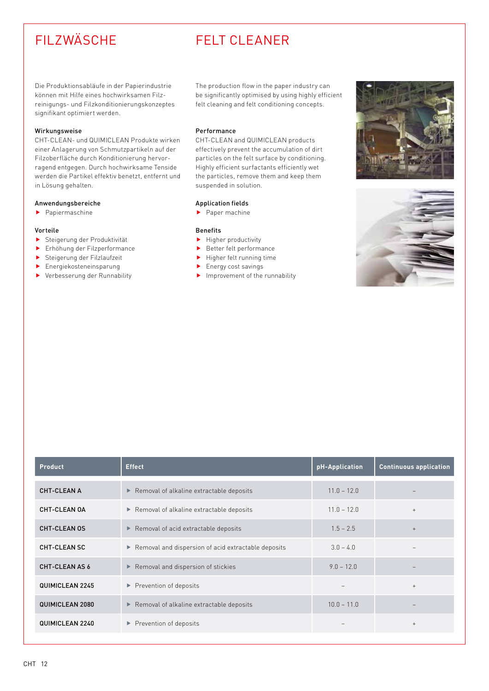## FILZWÄSCHE FELT CLEANER

Die Produktionsabläufe in der Papierindustrie können mit Hilfe eines hochwirksamen Filzreinigungs- und Filzkonditionierungskonzeptes signifikant optimiert werden.

#### Wirkungsweise

CHT-CLEAN- und QUIMICLEAN Produkte wirken einer Anlagerung von Schmutzpartikeln auf der Filzoberfläche durch Konditionierung hervorragend entgegen. Durch hochwirksame Tenside werden die Partikel effektiv benetzt, entfernt und in Lösung gehalten.

#### Anwendungsbereiche

 $\blacktriangleright$  Papiermaschine

#### Vorteile

- **F** Steigerung der Produktivität
- $\blacktriangleright$  Erhöhung der Filzperformance
- $\blacktriangleright$  Steigerung der Filzlaufzeit
- $\blacktriangleright$  Energiekosteneinsparung
- **F** Verbesserung der Runnability

The production flow in the paper industry can be significantly optimised by using highly efficient felt cleaning and felt conditioning concepts.

#### Performance

CHT-CLEAN and QUIMICLEAN products effectively prevent the accumulation of dirt particles on the felt surface by conditioning. Highly efficient surfactants efficiently wet the particles, remove them and keep them suspended in solution.

#### Application fields

 $\blacktriangleright$  Paper machine

- $\blacktriangleright$  Higher productivity
- $\blacktriangleright$  Better felt performance
- $\blacktriangleright$  Higher felt running time
- $\blacktriangleright$  Energy cost savings
- $\blacktriangleright$  Improvement of the runnability





| <b>Product</b>        | <b>Effect</b>                                       | pH-Application | <b>Continuous application</b> |
|-----------------------|-----------------------------------------------------|----------------|-------------------------------|
| <b>CHT-CLEAN A</b>    | Removal of alkaline extractable deposits            | $11.0 - 12.0$  |                               |
| CHT-CLEAN OA          | Removal of alkaline extractable deposits            | $11.0 - 12.0$  | $^{+}$                        |
| <b>CHT-CLEAN OS</b>   | Removal of acid extractable deposits                | $1.5 - 2.5$    | $^{+}$                        |
| <b>CHT-CLEAN SC</b>   | Removal and dispersion of acid extractable deposits | $3.0 - 4.0$    |                               |
| <b>CHT-CLEAN AS 6</b> | Removal and dispersion of stickies                  | $9.0 - 12.0$   |                               |
| QUIMICLEAN 2245       | Prevention of deposits                              |                | $+$                           |
| QUIMICLEAN 2080       | Removal of alkaline extractable deposits            | $10.0 - 11.0$  |                               |
| QUIMICLEAN 2240       | Prevention of deposits                              |                | $^{+}$                        |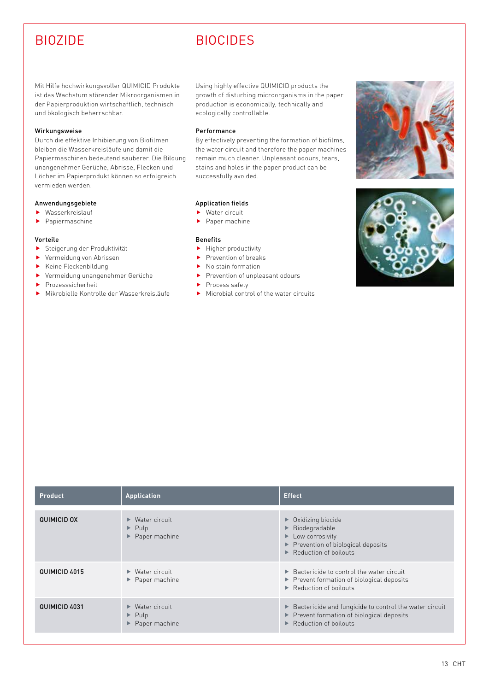## BIOZIDE BIOCIDES

Mit Hilfe hochwirkungsvoller QUIMICID Produkte ist das Wachstum störender Mikroorganismen in der Papierproduktion wirtschaftlich, technisch und ökologisch beherrschbar.

#### Wirkungsweise

Durch die effektive Inhibierung von Biofilmen bleiben die Wasserkreisläufe und damit die Papiermaschinen bedeutend sauberer. Die Bildung unangenehmer Gerüche, Abrisse, Flecken und Löcher im Papierprodukt können so erfolgreich vermieden werden.

#### Anwendungsgebiete

- $\blacktriangleright$  Wasserkreislauf
- $\blacktriangleright$  Papiermaschine

#### Vorteile

- **F** Steigerung der Produktivität
- $\blacktriangleright$  Vermeidung von Abrissen
- $\blacktriangleright$  Keine Fleckenbildung
- f Vermeidung unangenehmer Gerüche
- $\blacktriangleright$  Prozesssicherheit
- $\blacktriangleright$  Mikrobielle Kontrolle der Wasserkreisläufe

Using highly effective QUIMICID products the growth of disturbing microorganisms in the paper production is economically, technically and ecologically controllable.

#### Performance

By effectively preventing the formation of biofilms, the water circuit and therefore the paper machines remain much cleaner. Unpleasant odours, tears, stains and holes in the paper product can be successfully avoided.

### Application fields

- $\blacktriangleright$  Water circuit
- $\blacktriangleright$  Paper machine

- $\blacktriangleright$  Higher productivity
- $\blacktriangleright$  Prevention of breaks
- $\blacktriangleright$  No stain formation
- $\blacktriangleright$  Prevention of unpleasant odours
- $\blacktriangleright$  Process safety
- $\blacktriangleright$  Microbial control of the water circuits





| <b>Product</b>     | <b>Application</b>                                                                                  | <b>Effect</b>                                                                                                                                                                                     |
|--------------------|-----------------------------------------------------------------------------------------------------|---------------------------------------------------------------------------------------------------------------------------------------------------------------------------------------------------|
| <b>QUIMICID OX</b> | $\triangleright$ Water circuit<br>$\blacktriangleright$ Pulp<br>$\blacktriangleright$ Paper machine | $\triangleright$ Oxidizing biocide<br>$\blacktriangleright$ Biodegradable<br>$\blacktriangleright$ Low corrosivity<br>Prevention of biological deposits<br>$\triangleright$ Reduction of boilouts |
| QUIMICID 4015      | $\triangleright$ Water circuit<br>$\blacktriangleright$ Paper machine                               | $\triangleright$ Bactericide to control the water circuit<br>▶ Prevent formation of biological deposits<br>$\blacktriangleright$ Reduction of boilouts                                            |
| QUIMICID 4031      | $\triangleright$ Water circuit<br>$\blacktriangleright$ Pulp<br>$\blacktriangleright$ Paper machine | ▶ Bactericide and fungicide to control the water circuit<br>Prevent formation of biological deposits<br>$\triangleright$ Reduction of boilouts                                                    |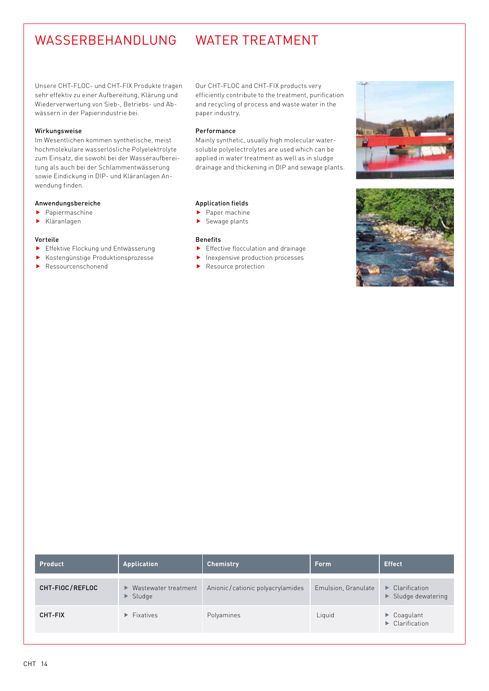## WASSERBEHANDLUNG WATER TREATMENT

Unsere CHT-FLOC- und CHT-FIX Produkte tragen sehr effektiv zu einer Aufbereitung, Klärung und Wiederverwertung von Sieb-, Betriebs- und Abwässern in der Papierindustrie bei.

#### Wirkungsweise

Im Wesentlichen kommen synthetische, meist hochmolekulare wasserlösliche Polyelektrolyte zum Einsatz, die sowohl bei der Wasseraufbereitung als auch bei der Schlammentwässerung sowie Eindickung in DIP- und Kläranlagen Anwendung finden.

### Anwendungsbereiche

- $\blacktriangleright$  Papiermaschine
- $\blacktriangleright$  Kläranlagen

#### Vorteile

- **F** Effektive Flockung und Entwässerung
- **Kostengünstige Produktionsprozesse**
- $\blacktriangleright$  Ressourcenschonend

Our CHT-FLOC and CHT-FIX products very efficiently contribute to the treatment, purification and recycling of process and waste water in the paper industry.

#### Performance

Mainly synthetic, usually high molecular watersoluble polyelectrolytes are used which can be applied in water treatment as well as in sludge drainage and thickening in DIP and sewage plants.

### Application fields

- $\blacktriangleright$  Paper machine
- $\blacktriangleright$  Sewage plants

- $\blacktriangleright$  Effective flocculation and drainage
- $\blacktriangleright$  Inexpensive production processes
- $\blacktriangleright$  Resource protection





| <b>Product</b>  | <b>Application</b>                                     | <b>Chemistry</b>                 | <b>Form</b>         | <b>Effect</b>                                                                  |
|-----------------|--------------------------------------------------------|----------------------------------|---------------------|--------------------------------------------------------------------------------|
| CHT-FLOC/REFLOC | ▶ Wastewater treatment<br>$\blacktriangleright$ Sludge | Anionic/cationic polyacrylamides | Emulsion, Granulate | $\blacktriangleright$ Clarification<br>$\blacktriangleright$ Sludge dewatering |
| <b>CHT-FIX</b>  | $\blacktriangleright$ Fixatives                        | Polyamines                       | Liquid              | $\blacktriangleright$ Coagulant<br>$\triangleright$ Clarification              |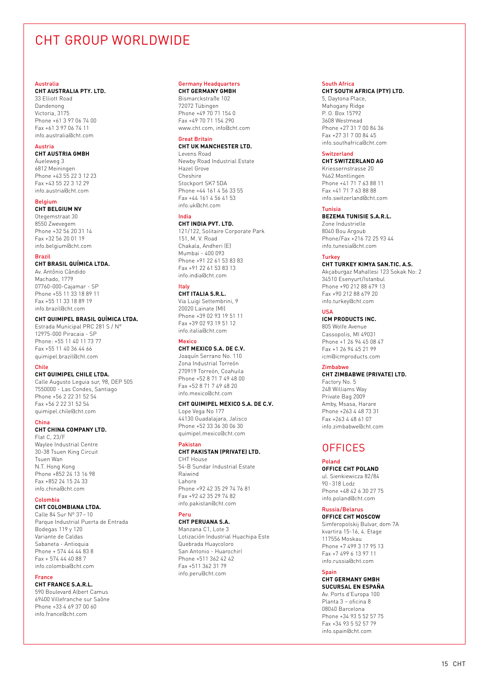## CHT GROUP WORLDWIDE

#### Australia

#### **CHT AUSTRALIA PTY. LTD.**

33 Elliott Road Dandenong Victoria, 3175 Phone +61 3 97 06 74 00 Fax +61 3 97 06 74 11 info.australia@cht.com

#### Austria

**CHT AUSTRIA GMBH**

Äueleweg 3 6812 Meiningen Phone +43 55 22 3 12 23 Fax +43 55 22 3 12 29 info.austria@cht.com

#### Belgium

**CHT BELGIUM NV** Otegemstraat 30 8550 Zwevegem Phone +32 56 20 31 14 Fax +32 56 20 01 19 info.belgium@cht.com

#### Brazil

#### **CHT BRASIL QUÍMICA LTDA.**

Av. Antônio Cândido Machado, 1779 07760-000-Cajamar - SP Phone +55 11 33 18 89 11 Fax +55 11 33 18 89 19 info.brazil@cht.com

### **CHT QUIMIPEL BRASIL QUÍMICA LTDA.**

Estrada Municipal PRC 281 S / N° 12975-000 Piracaia - SP Phone: +55 11 40 11 73 77 Fax +55 11 40 36 44 66 quimipel.brazil@cht.com

#### Chile

**CHT QUIMIPEL CHILE LTDA.**  Calle Augusto Leguia sur, 98, DEP 505 7550000 - Las Condes, Santiago

Phone +56 2 22 31 52 54 Fax +56 2 22 31 52 54 quimipel.chile@cht.com

#### China

**CHT CHINA COMPANY LTD.**

Flat C, 23/F Waylee Industrial Centre 30-38 Tsuen King Circuit Tsuen Wan N.T. Hong Kong Phone +852 24 13 16 98 Fax +852 24 15 24 33 info.china@cht.com

#### Colombia

### **CHT COLOMBIANA LTDA.**

Calle 84 Sur Nº 37 – 10 Parque Industrial Puerta de Entrada Bodegas 119 y 120 Variante de Caldas Sabaneta - Antioquia Phone + 574 44 44 83 8 Fax + 574 44 40 88 7 info.colombia@cht.com

#### France

**CHT FRANCE S.A.R.L.**  590 Boulevard Albert Camus 69400 Villefranche sur Saône Phone +33 4 69 37 00 60 info.france@cht.com

#### Germany Headquarters **CHT GERMANY GMBH**

Bismarckstraße 102 72072 Tübingen Phone +49 70 71 154 0

Fax +49 70 71 154 290 www.cht.com, info@cht.com Great Britain

#### **CHT UK MANCHESTER LTD.**

Levens Road Newby Road Industrial Estate Hazel Grove Cheshire Stockport SK7 5DA Phone +44 161 4 56 33 55 Fax +44 161 4 56 41 53 info.uk@cht.com

### India

**CHT INDIA PVT. LTD.** 121/122, Solitaire Corporate Park 151, M. V. Road Chakala, Andheri (E) Mumbai - 400 093 Phone +91 22 61 53 83 83 Fax +91 22 61 53 83 13 info.india@cht.com

#### Italy **CHT ITALIA S.R.L.**

Via Luigi Settembrini, 9 20020 Lainate (MI) Phone +39 02 93 19 51 11 Fax +39 02 93 19 51 12 info.italia@cht.com

### **Mexico**

**CHT MEXICO S.A. DE C.V.** Joaquín Serrano No. 110 Zona Industrial Torreón 270919 Torreón, Coahuila Phone +52 8 71 7 49 48 00 Fax +52 8 71 7 49 48 20 info.mexico@cht.com

#### **CHT QUIMIPEL MEXICO S.A. DE C.V.**

Lope Vega No 177 44130 Guadalajara, Jalisco Phone +52 33 36 30 06 30 quimipel.mexico@cht.com

### Pakistan

**CHT PAKISTAN (PRIVATE) LTD.** CHT House 54-B Sundar Industrial Estate Raiwind Lahore Phone +92 42 35 29 74 76 81 Fax +92 42 35 29 74 82 info.pakistan@cht.com

#### Peru

**CHT PERUANA S.A.**  Manzana C1, Lote 3 Lotización Industrial Huachipa Este Quebrada Huaycoloro San Antonio - Huarochirí Phone +511 362 42 42 Fax +511 362 31 79 info.peru@cht.com

#### South Africa

**CHT SOUTH AFRICA (PTY) LTD.** 5, Daytona Place, Mahogany Ridge P. O. Box 15792 3608 Westmead Phone +27 31 7 00 84 36 Fax +27 31 7 00 84 45 info.southafrica@cht.com

#### Switzerland

**CHT SWITZERLAND AG** Kriessernstrasse 20 9462 Montlingen Phone +41 71 7 63 88 11 Fax +41 71 7 63 88 88 info.switzerland@cht.com

#### Tunisia

**BEZEMA TUNISIE S.A.R.L.** Zone Industrielle 8040 Bou Argoub Phone/Fax +216 72 25 93 44 info.tunesia@cht.com

#### Turkey

**CHT TURKEY KIMYA SAN.TIC. A.S.**  Akçaburgaz Mahallesi 123 Sokak No: 2 34510 Esenyurt/Istanbul Phone +90 212 88 679 13 Fax +90 212 88 679 20 info.turkey@cht.com

#### USA

**ICM PRODUCTS INC.**

805 Wolfe Avenue Cassopolis, MI 49031 Phone +1 26 94 45 08 47 Fax +1 26 94 45 21 99 icm@icmproducts.com

#### Zimbabwe

**CHT ZIMBABWE (PRIVATE) LTD.** Factory No. 5 248 Williams Way Private Bag 2009 Amby, Msasa, Harare Phone +263 4 48 73 31 Fax +263 4 48 61 07 info.zimbabwe@cht.com

### OFFICES

#### Poland

**OFFICE CHT POLAND** ul. Sienkiewicza 82/84 90 - 318 Lodz Phone +48 42 6 30 27 75 info.poland@cht.com

### Russia/Belarus

**OFFICE CHT MOSCOW** Simferopolskij Bulvar, dom 7A kvartira 15-16, 4. Etage 117556 Moskau Phone +7 499 3 17 95 13 Fax +7 499 6 13 97 11 info.russia@cht.com

#### Spain

**CHT GERMANY GMBH SUCURSAL EN ESPAÑA** Av. Ports d'Europa 100 Planta 3 – oficina 8 08040 Barcelona Phone +34 93 5 52 57 75 Fax +34 93 5 52 57 79 info.spain@cht.com